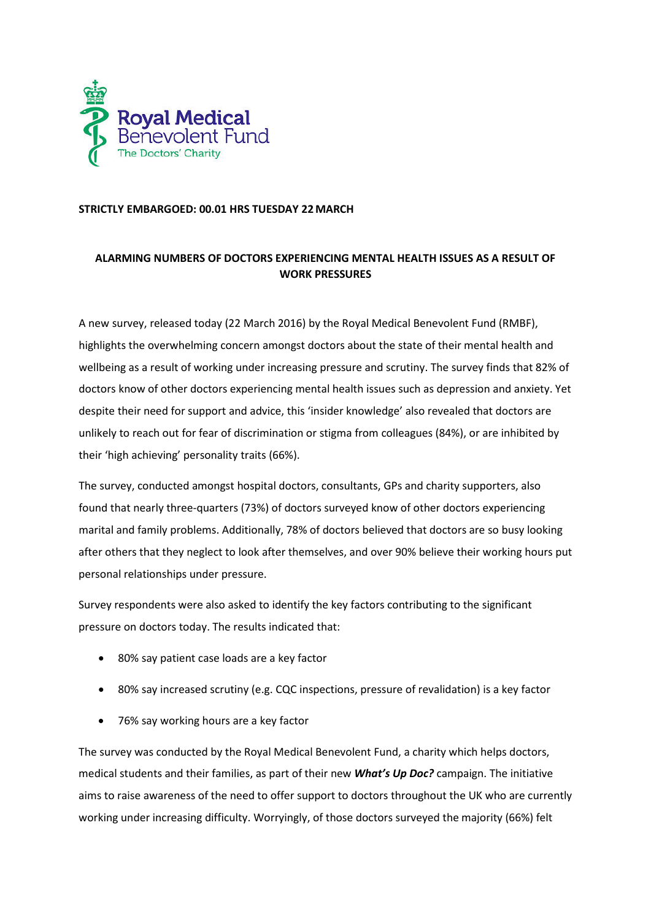

## **STRICTLY EMBARGOED: 00.01 HRS TUESDAY 22 MARCH**

# **ALARMING NUMBERS OF DOCTORS EXPERIENCING MENTAL HEALTH ISSUES AS A RESULT OF WORK PRESSURES**

A new survey, released today (22 March 2016) by the Royal Medical Benevolent Fund (RMBF), highlights the overwhelming concern amongst doctors about the state of their mental health and wellbeing as a result of working under increasing pressure and scrutiny. The survey finds that 82% of doctors know of other doctors experiencing mental health issues such as depression and anxiety. Yet despite their need for support and advice, this 'insider knowledge' also revealed that doctors are unlikely to reach out for fear of discrimination or stigma from colleagues (84%), or are inhibited by their 'high achieving' personality traits (66%).

The survey, conducted amongst hospital doctors, consultants, GPs and charity supporters, also found that nearly three-quarters (73%) of doctors surveyed know of other doctors experiencing marital and family problems. Additionally, 78% of doctors believed that doctors are so busy looking after others that they neglect to look after themselves, and over 90% believe their working hours put personal relationships under pressure.

Survey respondents were also asked to identify the key factors contributing to the significant pressure on doctors today. The results indicated that:

- 80% say patient case loads are a key factor
- 80% say increased scrutiny (e.g. CQC inspections, pressure of revalidation) is a key factor
- 76% say working hours are a key factor

The survey was conducted by the Royal Medical Benevolent Fund, a charity which helps doctors, medical students and their families, as part of their new *What's Up Doc?* campaign. The initiative aims to raise awareness of the need to offer support to doctors throughout the UK who are currently working under increasing difficulty. Worryingly, of those doctors surveyed the majority (66%) felt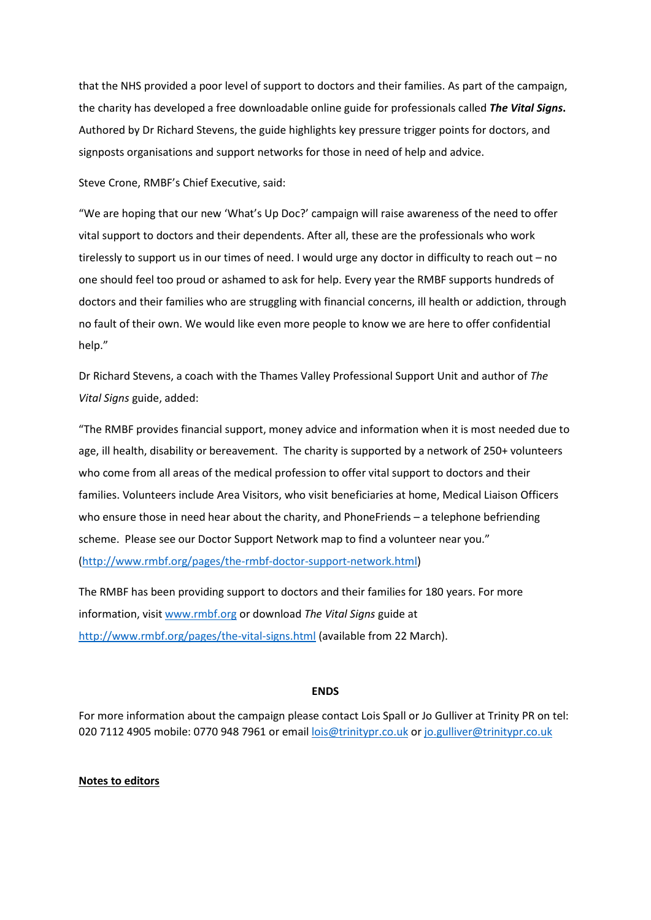that the NHS provided a poor level of support to doctors and their families. As part of the campaign, the charity has developed a free downloadable online guide for professionals called *The Vital Signs***.** Authored by Dr Richard Stevens, the guide highlights key pressure trigger points for doctors, and signposts organisations and support networks for those in need of help and advice.

#### Steve Crone, RMBF's Chief Executive, said:

"We are hoping that our new 'What's Up Doc?' campaign will raise awareness of the need to offer vital support to doctors and their dependents. After all, these are the professionals who work tirelessly to support us in our times of need. I would urge any doctor in difficulty to reach out – no one should feel too proud or ashamed to ask for help. Every year the RMBF supports hundreds of doctors and their families who are struggling with financial concerns, ill health or addiction, through no fault of their own. We would like even more people to know we are here to offer confidential help."

Dr Richard Stevens, a coach with the Thames Valley Professional Support Unit and author of *The Vital Signs* guide, added:

"The RMBF provides financial support, money advice and information when it is most needed due to age, ill health, disability or bereavement. The charity is supported by a network of 250+ volunteers who come from all areas of the medical profession to offer vital support to doctors and their families. Volunteers include Area Visitors, who visit beneficiaries at home, Medical Liaison Officers who ensure those in need hear about the charity, and PhoneFriends – a telephone befriending scheme. Please see our Doctor Support Network map to find a volunteer near you." [\(http://www.rmbf.org/pages/the-rmbf-doctor-support-network.html\)](http://www.rmbf.org/pages/the-rmbf-doctor-support-network.html)

The RMBF has been providing support to doctors and their families for 180 years. For more information, visit [www.rmbf.org](http://www.rmbf.org/) or download *The Vital Signs* guide at <http://www.rmbf.org/pages/the-vital-signs.html> (available from 22 March).

## **ENDS**

For more information about the campaign please contact Lois Spall or Jo Gulliver at Trinity PR on tel: 020 7112 4905 mobile: 0770 948 7961 or email [lois@trinitypr.co.uk](mailto:lois@trinitypr.co.uk) or [jo.gulliver@trinitypr.co.uk](mailto:jo.gulliver@trinitypr.co.uk)

### **Notes to editors**